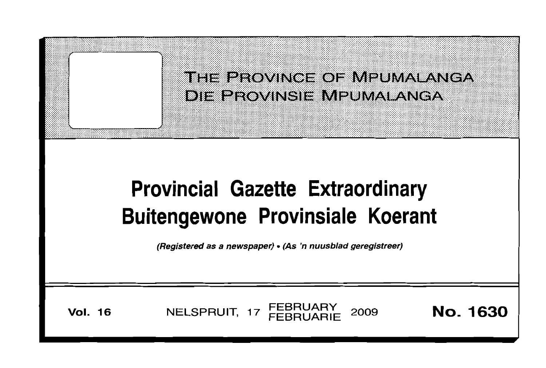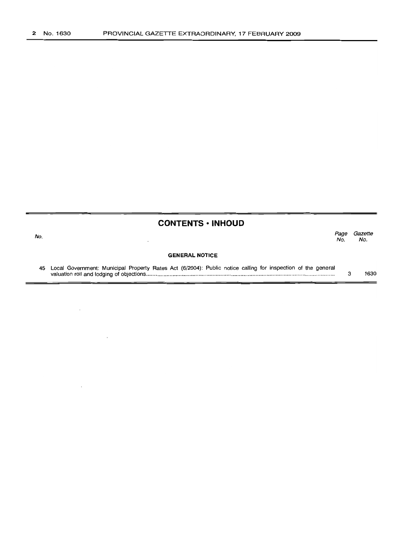$\bar{z}$ 

|     | <b>CONTENTS • INHOUD</b>                                                                                     |            |                |
|-----|--------------------------------------------------------------------------------------------------------------|------------|----------------|
| No. |                                                                                                              | Page<br>Nο | Gazette<br>No. |
|     | <b>GENERAL NOTICE</b>                                                                                        |            |                |
| 45  | Local Government: Municipal Property Rates Act (6/2004): Public notice calling for inspection of the general |            | 1630           |